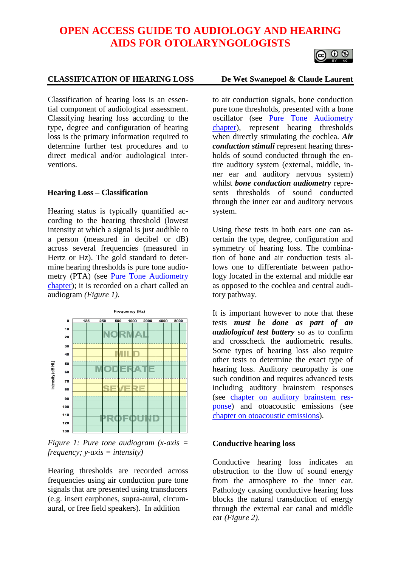## **OPEN ACCESS GUIDE TO AUDIOLOGY AND HEARING AIDS FOR OTOLARYNGOLOGISTS**

# $\circ$

### **CLASSIFICATION OF HEARING LOSS De Wet Swanepoel & Claude Laurent**

Classification of hearing loss is an essential component of audiological assessment. Classifying hearing loss according to the type, degree and configuration of hearing loss is the primary information required to determine further test procedures and to direct medical and/or audiological interventions.

#### **Hearing Loss – Classification**

Hearing status is typically quantified according to the hearing threshold (lowest intensity at which a signal is just audible to a person (measured in decibel or dB) across several frequencies (measured in Hertz or Hz). The gold standard to determine hearing thresholds is pure tone audiometry (PTA) (see <u>Pure Tone Audiometry</u> [chapter\)](https://vula.uct.ac.za/access/content/group/27b5cb1b-1b65-4280-9437-a9898ddd4c40/Theory%20and%20practice%20of%20pure%20tone%20audiometry%20_PTA_.pdf); it is recorded on a chart called an audiogram *(Figure 1)*.



*Figure 1: Pure tone audiogram (x-axis = frequency; y-axis = intensity)*

Hearing thresholds are recorded across frequencies using air conduction pure tone signals that are presented using transducers (e.g. insert earphones, supra-aural, circumaural, or free field speakers). In addition

to air conduction signals, bone conduction pure tone thresholds, presented with a bone oscillator (see [Pure Tone Audiometry](https://vula.uct.ac.za/access/content/group/27b5cb1b-1b65-4280-9437-a9898ddd4c40/Theory%20and%20practice%20of%20pure%20tone%20audiometry%20_PTA_.pdf)  [chapter\)](https://vula.uct.ac.za/access/content/group/27b5cb1b-1b65-4280-9437-a9898ddd4c40/Theory%20and%20practice%20of%20pure%20tone%20audiometry%20_PTA_.pdf), represent hearing thresholds when directly stimulating the cochlea. *Air conduction stimuli* represent hearing thresholds of sound conducted through the entire auditory system (external, middle, inner ear and auditory nervous system) whilst *bone conduction audiometry* represents thresholds of sound conducted through the inner ear and auditory nervous system.

Using these tests in both ears one can ascertain the type, degree, configuration and symmetry of hearing loss. The combination of bone and air conduction tests allows one to differentiate between pathology located in the external and middle ear as opposed to the cochlea and central auditory pathway.

It is important however to note that these tests *must be done as part of an audiological test battery* so as to confirm and crosscheck the audiometric results. Some types of hearing loss also require other tests to determine the exact type of hearing loss. Auditory neuropathy is one such condition and requires advanced tests including auditory brainstem responses (see [chapter on auditory brainstem res](https://vula.uct.ac.za/access/content/group/27b5cb1b-1b65-4280-9437-a9898ddd4c40/Auditory%20Brainstem%20Response%20_ABR_%20in%20Clinical%20Practice.pdf)[ponse\)](https://vula.uct.ac.za/access/content/group/27b5cb1b-1b65-4280-9437-a9898ddd4c40/Auditory%20Brainstem%20Response%20_ABR_%20in%20Clinical%20Practice.pdf) and otoacoustic emissions (see [chapter on otoacoustic emissions\)](https://vula.uct.ac.za/access/content/group/27b5cb1b-1b65-4280-9437-a9898ddd4c40/Otoacoustic%20emissions%20_OAEs_.pdf).

#### **Conductive hearing loss**

Conductive hearing loss indicates an obstruction to the flow of sound energy from the atmosphere to the inner ear. Pathology causing conductive hearing loss blocks the natural transduction of energy through the external ear canal and middle ear *(Figure 2)*.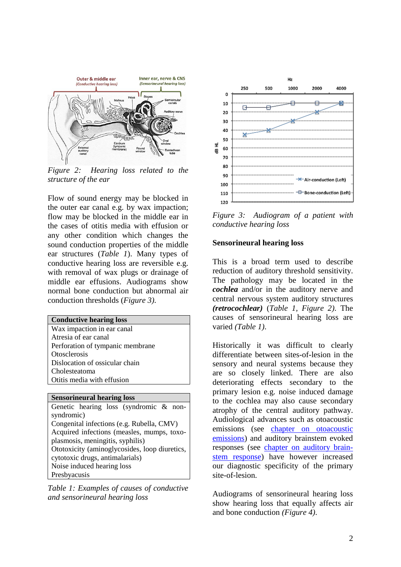

*Figure 2: Hearing loss related to the structure of the ear* 

Flow of sound energy may be blocked in the outer ear canal e.g. by wax impaction; flow may be blocked in the middle ear in the cases of otitis media with effusion or any other condition which changes the sound conduction properties of the middle ear structures (*Table 1*). Many types of conductive hearing loss are reversible e.g. with removal of wax plugs or drainage of middle ear effusions. Audiograms show normal bone conduction but abnormal air conduction thresholds (*Figure 3)*.

| <b>Conductive hearing loss</b>   |
|----------------------------------|
| Wax impaction in ear canal       |
| Atresia of ear canal             |
| Perforation of tympanic membrane |
| <i><b>Otosclerosis</b></i>       |
| Dislocation of ossicular chain   |
| Cholesteatoma                    |
| Otitis media with effusion       |
|                                  |

**Sensorineural hearing loss** Genetic hearing loss (syndromic & nonsyndromic) Congenital infections (e.g. Rubella, CMV) Acquired infections (measles, mumps, toxoplasmosis, meningitis, syphilis) Ototoxicity (aminoglycosides, loop diuretics, cytotoxic drugs, antimalarials) Noise induced hearing loss Presbyacusis

*Table 1: Examples of causes of conductive and sensorineural hearing loss*



*Figure 3: Audiogram of a patient with conductive hearing loss* 

#### **Sensorineural hearing loss**

This is a broad term used to describe reduction of auditory threshold sensitivity. The pathology may be located in the *cochlea* and/or in the auditory nerve and central nervous system auditory structures *(retrocochlear)* (*Table 1, Figure 2)*. The causes of sensorineural hearing loss are varied *(Table 1)*.

Historically it was difficult to clearly differentiate between sites-of-lesion in the sensory and neural systems because they are so closely linked. There are also deteriorating effects secondary to the primary lesion e.g. noise induced damage to the cochlea may also cause secondary atrophy of the central auditory pathway. Audiological advances such as otoacoustic emissions (see [chapter on otoacoustic](https://vula.uct.ac.za/access/content/group/27b5cb1b-1b65-4280-9437-a9898ddd4c40/Otoacoustic%20emissions%20_OAEs_.pdf)  [emissions\)](https://vula.uct.ac.za/access/content/group/27b5cb1b-1b65-4280-9437-a9898ddd4c40/Otoacoustic%20emissions%20_OAEs_.pdf) and auditory brainstem evoked responses (see [chapter on auditory brain](https://vula.uct.ac.za/access/content/group/27b5cb1b-1b65-4280-9437-a9898ddd4c40/Auditory%20Brainstem%20Response%20_ABR_%20in%20Clinical%20Practice.pdf)[stem response\)](https://vula.uct.ac.za/access/content/group/27b5cb1b-1b65-4280-9437-a9898ddd4c40/Auditory%20Brainstem%20Response%20_ABR_%20in%20Clinical%20Practice.pdf) have however increased our diagnostic specificity of the primary site-of-lesion.

Audiograms of sensorineural hearing loss show hearing loss that equally affects air and bone conduction *(Figure 4)*.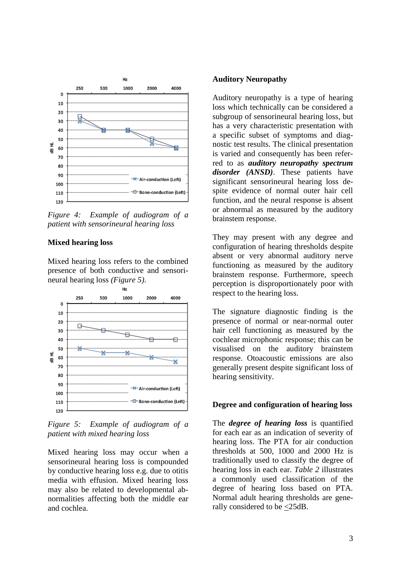

*Figure 4: Example of audiogram of a patient with sensorineural hearing loss*

#### **Mixed hearing loss**

Mixed hearing loss refers to the combined presence of both conductive and sensorineural hearing loss *(Figure 5)*.



*Figure 5: Example of audiogram of a patient with mixed hearing loss*

Mixed hearing loss may occur when a sensorineural hearing loss is compounded by conductive hearing loss e.g. due to otitis media with effusion. Mixed hearing loss may also be related to developmental abnormalities affecting both the middle ear and cochlea.

#### **Auditory Neuropathy**

Auditory neuropathy is a type of hearing loss which technically can be considered a subgroup of sensorineural hearing loss, but has a very characteristic presentation with a specific subset of symptoms and diagnostic test results. The clinical presentation is varied and consequently has been referred to as *auditory neuropathy spectrum disorder (ANSD)*. These patients have significant sensorineural hearing loss despite evidence of normal outer hair cell function, and the neural response is absent or abnormal as measured by the auditory brainstem response.

They may present with any degree and configuration of hearing thresholds despite absent or very abnormal auditory nerve functioning as measured by the auditory brainstem response. Furthermore, speech perception is disproportionately poor with respect to the hearing loss.

The signature diagnostic finding is the presence of normal or near-normal outer hair cell functioning as measured by the cochlear microphonic response; this can be visualised on the auditory brainstem response. Otoacoustic emissions are also generally present despite significant loss of hearing sensitivity.

#### **Degree and configuration of hearing loss**

The *degree of hearing loss* is quantified for each ear as an indication of severity of hearing loss. The PTA for air conduction thresholds at 500, 1000 and 2000 Hz is traditionally used to classify the degree of hearing loss in each ear. *Table 2* illustrates a commonly used classification of the degree of hearing loss based on PTA. Normal adult hearing thresholds are generally considered to be  $\leq$ 25dB.